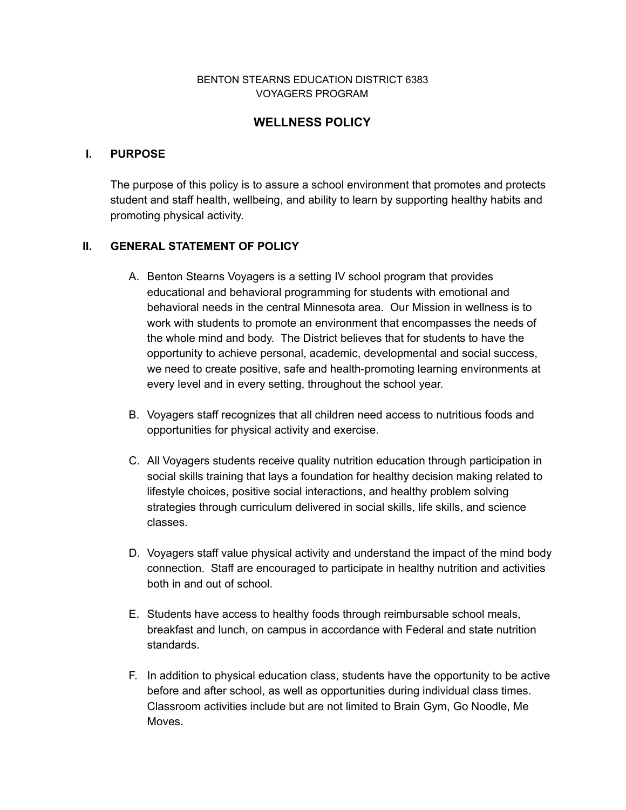#### BENTON STEARNS EDUCATION DISTRICT 6383 VOYAGERS PROGRAM

## **WELLNESS POLICY**

#### **I. PURPOSE**

The purpose of this policy is to assure a school environment that promotes and protects student and staff health, wellbeing, and ability to learn by supporting healthy habits and promoting physical activity.

#### **II. GENERAL STATEMENT OF POLICY**

- A. Benton Stearns Voyagers is a setting IV school program that provides educational and behavioral programming for students with emotional and behavioral needs in the central Minnesota area. Our Mission in wellness is to work with students to promote an environment that encompasses the needs of the whole mind and body. The District believes that for students to have the opportunity to achieve personal, academic, developmental and social success, we need to create positive, safe and health-promoting learning environments at every level and in every setting, throughout the school year.
- B. Voyagers staff recognizes that all children need access to nutritious foods and opportunities for physical activity and exercise.
- C. All Voyagers students receive quality nutrition education through participation in social skills training that lays a foundation for healthy decision making related to lifestyle choices, positive social interactions, and healthy problem solving strategies through curriculum delivered in social skills, life skills, and science classes.
- D. Voyagers staff value physical activity and understand the impact of the mind body connection. Staff are encouraged to participate in healthy nutrition and activities both in and out of school.
- E. Students have access to healthy foods through reimbursable school meals, breakfast and lunch, on campus in accordance with Federal and state nutrition standards.
- F. In addition to physical education class, students have the opportunity to be active before and after school, as well as opportunities during individual class times. Classroom activities include but are not limited to Brain Gym, Go Noodle, Me Moves.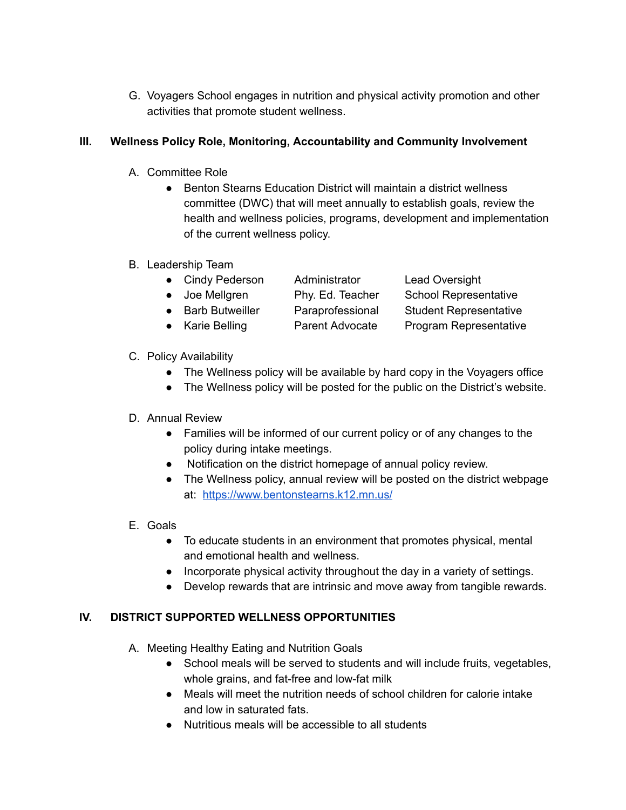G. Voyagers School engages in nutrition and physical activity promotion and other activities that promote student wellness.

### **III. Wellness Policy Role, Monitoring, Accountability and Community Involvement**

- A. Committee Role
	- Benton Stearns Education District will maintain a district wellness committee (DWC) that will meet annually to establish goals, review the health and wellness policies, programs, development and implementation of the current wellness policy.
- B. Leadership Team

| • Cindy Pederson  | Administrator          | <b>Lead Oversight</b>         |
|-------------------|------------------------|-------------------------------|
| • Joe Mellgren    | Phy. Ed. Teacher       | <b>School Representative</b>  |
| • Barb Butweiller | Paraprofessional       | <b>Student Representative</b> |
| • Karie Belling   | <b>Parent Advocate</b> | <b>Program Representative</b> |
|                   |                        |                               |

### C. Policy Availability

- The Wellness policy will be available by hard copy in the Voyagers office
- The Wellness policy will be posted for the public on the District's website.

### D. Annual Review

- Families will be informed of our current policy or of any changes to the policy during intake meetings.
- Notification on the district homepage of annual policy review.
- The Wellness policy, annual review will be posted on the district webpage at: <https://www.bentonstearns.k12.mn.us/>
- E. Goals
	- To educate students in an environment that promotes physical, mental and emotional health and wellness.
	- Incorporate physical activity throughout the day in a variety of settings.
	- Develop rewards that are intrinsic and move away from tangible rewards.

### **IV. DISTRICT SUPPORTED WELLNESS OPPORTUNITIES**

- A. Meeting Healthy Eating and Nutrition Goals
	- School meals will be served to students and will include fruits, vegetables, whole grains, and fat-free and low-fat milk
	- Meals will meet the nutrition needs of school children for calorie intake and low in saturated fats.
	- Nutritious meals will be accessible to all students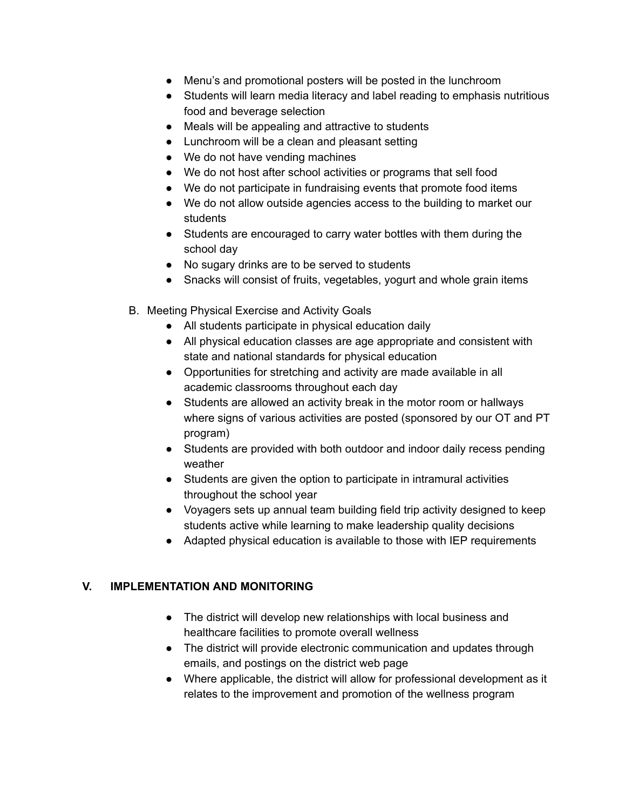- Menu's and promotional posters will be posted in the lunchroom
- Students will learn media literacy and label reading to emphasis nutritious food and beverage selection
- Meals will be appealing and attractive to students
- Lunchroom will be a clean and pleasant setting
- We do not have vending machines
- We do not host after school activities or programs that sell food
- We do not participate in fundraising events that promote food items
- We do not allow outside agencies access to the building to market our students
- Students are encouraged to carry water bottles with them during the school day
- No sugary drinks are to be served to students
- Snacks will consist of fruits, vegetables, yogurt and whole grain items
- B. Meeting Physical Exercise and Activity Goals
	- All students participate in physical education daily
	- All physical education classes are age appropriate and consistent with state and national standards for physical education
	- Opportunities for stretching and activity are made available in all academic classrooms throughout each day
	- Students are allowed an activity break in the motor room or hallways where signs of various activities are posted (sponsored by our OT and PT program)
	- Students are provided with both outdoor and indoor daily recess pending weather
	- Students are given the option to participate in intramural activities throughout the school year
	- Voyagers sets up annual team building field trip activity designed to keep students active while learning to make leadership quality decisions
	- Adapted physical education is available to those with IEP requirements

# **V. IMPLEMENTATION AND MONITORING**

- The district will develop new relationships with local business and healthcare facilities to promote overall wellness
- The district will provide electronic communication and updates through emails, and postings on the district web page
- Where applicable, the district will allow for professional development as it relates to the improvement and promotion of the wellness program